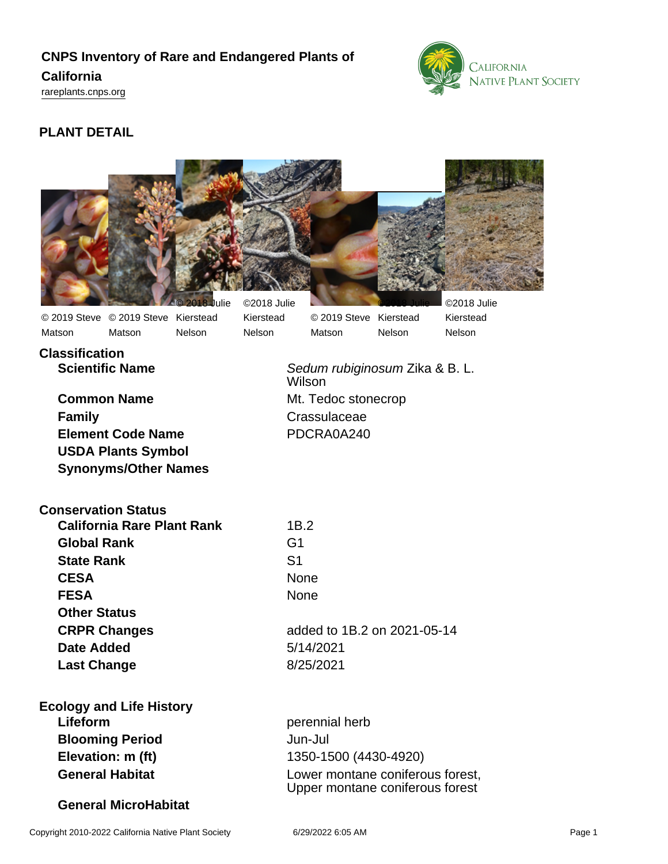# **CNPS Inventory of Rare and Endangered Plants of California**

<rareplants.cnps.org>



# **PLANT DETAIL**



**Classification Scientific Name** Sedum rubiginosum Zika & B. L.

**Common Name** Mt. Tedoc stonecrop **Family** Crassulaceae **Element Code Name** PDCRA0A240 **USDA Plants Symbol Synonyms/Other Names**

**Conservation Status**

| <b>California Rare Plant Rank</b> | 1B.2                        |
|-----------------------------------|-----------------------------|
| <b>Global Rank</b>                | G1                          |
| <b>State Rank</b>                 | S1                          |
| <b>CESA</b>                       | <b>None</b>                 |
| <b>FESA</b>                       | <b>None</b>                 |
| <b>Other Status</b>               |                             |
| <b>CRPR Changes</b>               | added to 1B.2 on 2021-05-14 |
| <b>Date Added</b>                 | 5/14/2021                   |
| <b>Last Change</b>                | 8/25/2021                   |
|                                   |                             |

**Ecology and Life History Lifeform** perennial herb **Blooming Period** Jun-Jul **Elevation: m (ft)** 1350-1500 (4430-4920)

**General MicroHabitat**

Wilson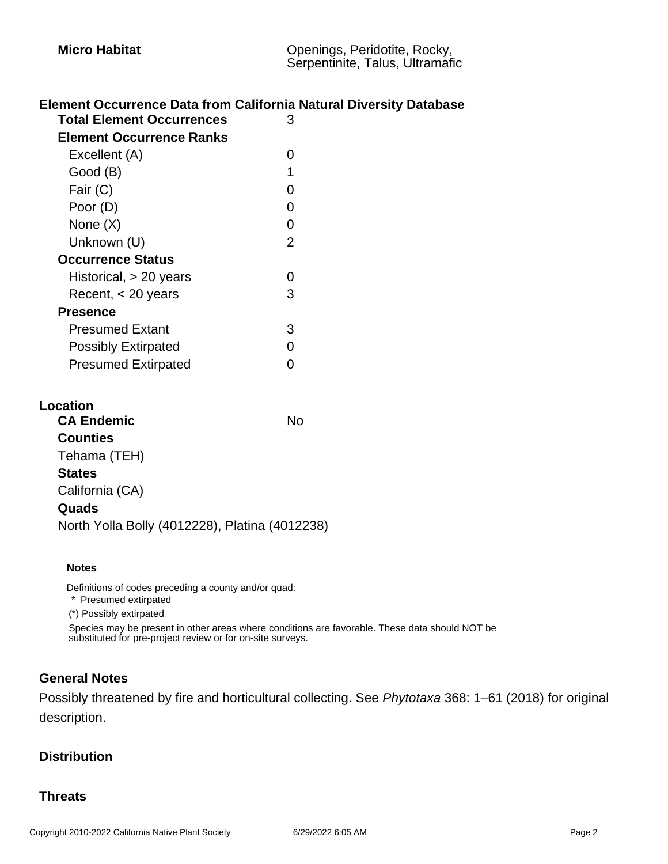# **Element Occurrence Data from California Natural Diversity Database**

| <b>Total Element Occurrences</b> |                |  |
|----------------------------------|----------------|--|
|                                  |                |  |
| <b>Element Occurrence Ranks</b>  |                |  |
| Excellent (A)                    | ი              |  |
| Good (B)                         | 1              |  |
| Fair (C)                         | 0              |  |
| Poor (D)                         | O              |  |
| None (X)                         | 0              |  |
| Unknown (U)                      | $\overline{2}$ |  |
| <b>Occurrence Status</b>         |                |  |
| Historical, > 20 years           | ი              |  |
| Recent, $<$ 20 years             | 3              |  |
| <b>Presence</b>                  |                |  |
| <b>Presumed Extant</b>           | 3              |  |
| <b>Possibly Extirpated</b>       | ი              |  |
| <b>Presumed Extirpated</b>       |                |  |
|                                  |                |  |

#### **Location**

| <b>CA Endemic</b>                              | N٥ |
|------------------------------------------------|----|
| <b>Counties</b>                                |    |
| Tehama (TEH)                                   |    |
| <b>States</b>                                  |    |
| California (CA)                                |    |
| Quads                                          |    |
| North Yolla Bolly (4012228), Platina (4012238) |    |
|                                                |    |

#### **Notes**

Definitions of codes preceding a county and/or quad:

\* Presumed extirpated

(\*) Possibly extirpated

Species may be present in other areas where conditions are favorable. These data should NOT be substituted for pre-project review or for on-site surveys.

## **General Notes**

Possibly threatened by fire and horticultural collecting. See Phytotaxa 368: 1–61 (2018) for original description.

#### **Distribution**

## **Threats**